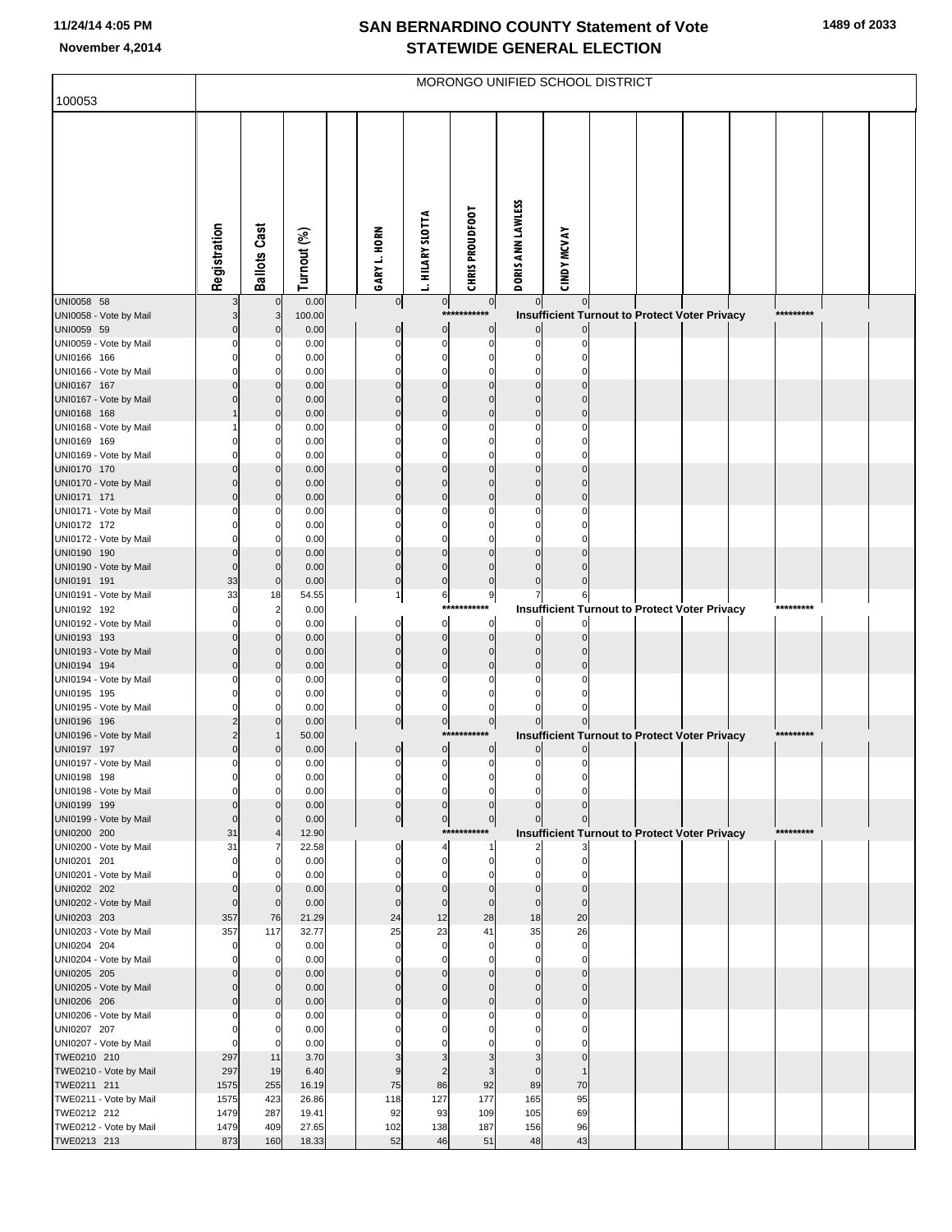|  |  | 1489 of 2033 |
|--|--|--------------|
|--|--|--------------|

| 100053                                | MORONGO UNIFIED SCHOOL DISTRICT |                            |                |  |                                  |                        |                               |                            |                      |                                               |  |  |  |           |  |
|---------------------------------------|---------------------------------|----------------------------|----------------|--|----------------------------------|------------------------|-------------------------------|----------------------------|----------------------|-----------------------------------------------|--|--|--|-----------|--|
|                                       |                                 |                            |                |  |                                  |                        |                               |                            |                      |                                               |  |  |  |           |  |
|                                       | Registration                    | <b>Ballots Cast</b>        | Turnout (%)    |  | GARY L. HORN                     | <b>HILARY SLOTTA</b>   | <b>CHRIS PROUDFOOT</b>        | DORIS ANN LAWLESS          | <b>CINDY MCVAY</b>   |                                               |  |  |  |           |  |
| UNI0058 58                            |                                 | $\mathbf 0$                | 0.00           |  | $\overline{0}$                   | $\overline{0}$<br>***: | 0 <br>****                    | $\overline{0}$             | $\mathbf 0$          |                                               |  |  |  | ********* |  |
| UNI0058 - Vote by Mail<br>UNI0059 59  |                                 | 3<br>0                     | 100.00<br>0.00 |  | $\overline{0}$                   | $\overline{0}$         | 0                             |                            |                      | Insufficient Turnout to Protect Voter Privacy |  |  |  |           |  |
| UNI0059 - Vote by Mail                |                                 | 0                          | 0.00           |  | $\mathbf 0$                      | $\Omega$               | $\mathbf 0$                   | 0                          |                      |                                               |  |  |  |           |  |
| UNI0166 166                           |                                 | $\Omega$                   | 0.00           |  | $\Omega$                         | O                      | O                             | $\Omega$                   |                      |                                               |  |  |  |           |  |
| UNI0166 - Vote by Mail                |                                 | O                          | 0.00           |  |                                  |                        |                               | ŋ                          |                      |                                               |  |  |  |           |  |
| UNI0167 167<br>UNI0167 - Vote by Mail |                                 | $\mathbf 0$<br>0           | 0.00<br>0.00   |  | ŋ                                | ŋ                      | በ                             | ŋ<br>0                     | U                    |                                               |  |  |  |           |  |
| UNI0168 168                           |                                 | 0                          | 0.00           |  | $\Omega$                         | $\Omega$               | $\Omega$                      | $\Omega$                   | $\Omega$             |                                               |  |  |  |           |  |
| UNI0168 - Vote by Mail                |                                 | 0                          | 0.00           |  | O                                | ŋ                      | C                             | 0                          | U                    |                                               |  |  |  |           |  |
| UNI0169 169                           |                                 | 0<br>O                     | 0.00           |  | O                                | ŋ                      | C                             | 0                          | n                    |                                               |  |  |  |           |  |
| UNI0169 - Vote by Mail<br>UNI0170 170 |                                 | 0                          | 0.00<br>0.00   |  | $\Omega$                         |                        | O                             | $\Omega$                   |                      |                                               |  |  |  |           |  |
| UNI0170 - Vote by Mail                |                                 | $\mathbf 0$                | 0.00           |  | $\Omega$                         | ŋ                      | ი                             | $\Omega$                   | U                    |                                               |  |  |  |           |  |
| UNI0171 171                           |                                 | $\mathbf 0$                | 0.00           |  | $\Omega$                         | $\Omega$               | $\Omega$                      | $\Omega$                   | U                    |                                               |  |  |  |           |  |
| UNI0171 - Vote by Mail                |                                 | 0<br>0                     | 0.00<br>0.00   |  | ŋ<br>O                           | ŋ<br>ŋ                 | C<br>U                        | 0<br>0                     | U                    |                                               |  |  |  |           |  |
| UNI0172 172<br>UNI0172 - Vote by Mail |                                 | O                          | 0.00           |  |                                  |                        |                               | n                          |                      |                                               |  |  |  |           |  |
| UNI0190 190                           |                                 | $\mathbf 0$                | 0.00           |  | $\Omega$                         |                        |                               | Ω                          |                      |                                               |  |  |  |           |  |
| UNI0190 - Vote by Mail                |                                 | $\mathbf 0$                | 0.00           |  | $\Omega$                         | $\Omega$               | $\Omega$                      | 0                          | U                    |                                               |  |  |  |           |  |
| UNI0191 191<br>UNI0191 - Vote by Mail | 33<br>33                        | $\overline{0}$<br>18       | 0.00<br>54.55  |  | $\mathbf{0}$                     | $\mathbf 0$            | $\mathbf 0$<br>9              | $\mathbf 0$<br>7           | U                    |                                               |  |  |  |           |  |
| UNI0192 192                           |                                 | $\overline{\mathbf{c}}$    | 0.00           |  | $\mathbf{1}$                     | 6<br>****              |                               |                            | 6                    | Insufficient Turnout to Protect Voter Privacy |  |  |  | ********* |  |
| UNI0192 - Vote by Mail                |                                 | $\Omega$                   | 0.00           |  | $\Omega$                         | $\mathbf 0$            | 0                             |                            |                      |                                               |  |  |  |           |  |
| UNI0193 193                           |                                 | 0<br>$\mathbf 0$           | 0.00           |  | $\Omega$<br>$\Omega$             | $\Omega$<br>$\Omega$   | $\Omega$<br>$\Omega$          | $\Omega$<br>0              |                      |                                               |  |  |  |           |  |
| UNI0193 - Vote by Mail<br>UNI0194 194 |                                 | $\mathbf 0$                | 0.00<br>0.00   |  | $\Omega$                         | $\Omega$               | $\Omega$                      | $\Omega$                   |                      |                                               |  |  |  |           |  |
| UNI0194 - Vote by Mail                |                                 | 0                          | 0.00           |  | O                                | ŋ                      | O                             | 0                          |                      |                                               |  |  |  |           |  |
| UNI0195 195                           |                                 | 0                          | 0.00           |  | $\mathbf 0$                      | O                      | O                             | n                          |                      |                                               |  |  |  |           |  |
| UNI0195 - Vote by Mail<br>UNI0196 196 |                                 | O<br>$\mathbf 0$           | 0.00<br>0.00   |  | $\Omega$<br>$\overline{0}$       | ŋ<br>$\circ$           | C<br>$\overline{0}$           | U                          |                      |                                               |  |  |  |           |  |
| UNI0196 - Vote by Mail                |                                 |                            | 50.00          |  |                                  | ***:                   |                               |                            |                      | Insufficient Turnout to Protect Voter Privacy |  |  |  | ********* |  |
| UNI0197 197                           |                                 | 0                          | 0.00           |  | $\overline{0}$                   | $\circ$                | 0                             |                            |                      |                                               |  |  |  |           |  |
| UNI0197 - Vote by Mail                |                                 | 0<br>$\overline{0}$        | 0.00<br>0.00   |  | $\overline{0}$<br>$\overline{0}$ | 0<br>$\overline{0}$    | $\overline{0}$                | 0<br>0                     |                      |                                               |  |  |  |           |  |
| UNI0198 198<br>UNI0198 - Vote by Mail |                                 | $\Omega$                   | 0.00           |  | $\mathbf{0}$                     | $\Omega$               | O                             | $\Omega$                   |                      |                                               |  |  |  |           |  |
| UNI0199 199                           |                                 | $\Omega$                   | 0.00           |  | $\Omega$                         | $\Omega$               | $\Omega$                      |                            |                      |                                               |  |  |  |           |  |
| UNI0199 - Vote by Mail                |                                 | $\mathbf 0$                | 0.00           |  | $\overline{0}$                   | 0l                     | $\overline{0}$<br>*********** | 0                          |                      |                                               |  |  |  | ********* |  |
| UNI0200 200<br>UNI0200 - Vote by Mail | 31<br>31                        | 4<br>7                     | 12.90<br>22.58 |  | $\overline{0}$                   | 4                      |                               |                            |                      | Insufficient Turnout to Protect Voter Privacy |  |  |  |           |  |
| UNI0201 201                           |                                 | $\overline{0}$             | 0.00           |  | $\mathbf{0}$                     | 0                      | $\mathbf{0}$                  | 0                          |                      |                                               |  |  |  |           |  |
| UNI0201 - Vote by Mail                |                                 | $\Omega$                   | 0.00           |  |                                  | ŋ                      | C                             |                            |                      |                                               |  |  |  |           |  |
| UNI0202 202<br>UNI0202 - Vote by Mail |                                 | 0<br>$\mathbf 0$           | 0.00<br>0.00   |  | $\Omega$<br>$\Omega$             | $\Omega$<br>$\Omega$   | $\Omega$<br>$\Omega$          | $\mathbf 0$<br>$\mathbf 0$ | $\Omega$<br>$\Omega$ |                                               |  |  |  |           |  |
| UNI0203 203                           | 357                             | 76                         | 21.29          |  | 24                               | 12                     | 28                            | 18                         | 20                   |                                               |  |  |  |           |  |
| UNI0203 - Vote by Mail                | 357                             | 117                        | 32.77          |  | 25                               | 23                     | 41                            | 35                         | 26                   |                                               |  |  |  |           |  |
| UNI0204 204<br>UNI0204 - Vote by Mail |                                 | $\overline{0}$<br>$\Omega$ | 0.00<br>0.00   |  | $\Omega$                         | $\Omega$<br>O          | 0<br>C                        | $\Omega$<br>0              | $\Omega$<br>$\Omega$ |                                               |  |  |  |           |  |
| UNI0205 205                           |                                 | $\mathbf 0$                | 0.00           |  | $\Omega$                         | ŋ                      | $\Omega$                      | $\Omega$                   | $\Omega$             |                                               |  |  |  |           |  |
| UNI0205 - Vote by Mail                |                                 | $\Omega$                   | 0.00           |  | $\Omega$                         | U                      | ი                             | 0                          | $\Omega$             |                                               |  |  |  |           |  |
| UNI0206 206                           |                                 | $\Omega$                   | 0.00           |  | $\Omega$                         | $\Omega$               | $\Omega$                      | $\overline{0}$             | $\mathbf{0}$         |                                               |  |  |  |           |  |
| UNI0206 - Vote by Mail<br>UNI0207 207 |                                 | 0<br>$\Omega$              | 0.00<br>0.00   |  |                                  | ŋ                      | U                             | 0<br>n                     | 0<br>n               |                                               |  |  |  |           |  |
| UNI0207 - Vote by Mail                |                                 | O                          | 0.00           |  |                                  |                        |                               |                            |                      |                                               |  |  |  |           |  |
| TWE0210 210                           | 297                             | 11                         | 3.70           |  |                                  |                        |                               |                            | $\Omega$             |                                               |  |  |  |           |  |
| TWE0210 - Vote by Mail                | 297                             | 19                         | 6.40           |  |                                  |                        |                               | $\Omega$                   |                      |                                               |  |  |  |           |  |
| TWE0211 211<br>TWE0211 - Vote by Mail | 1575<br>1575                    | 255<br>423                 | 16.19<br>26.86 |  | 75<br>118                        | 86<br>127              | 92<br>177                     | 89<br>165                  | 70<br>95             |                                               |  |  |  |           |  |
| TWE0212 212                           | 1479                            | 287                        | 19.41          |  | 92                               | 93                     | 109                           | 105                        | 69                   |                                               |  |  |  |           |  |
| TWE0212 - Vote by Mail                | 1479                            | 409                        | 27.65          |  | 102                              | 138                    | 187                           | 156                        | 96                   |                                               |  |  |  |           |  |
| TWE0213 213                           | 873                             | 160                        | 18.33          |  | 52                               | 46                     | 51                            | 48                         | 43                   |                                               |  |  |  |           |  |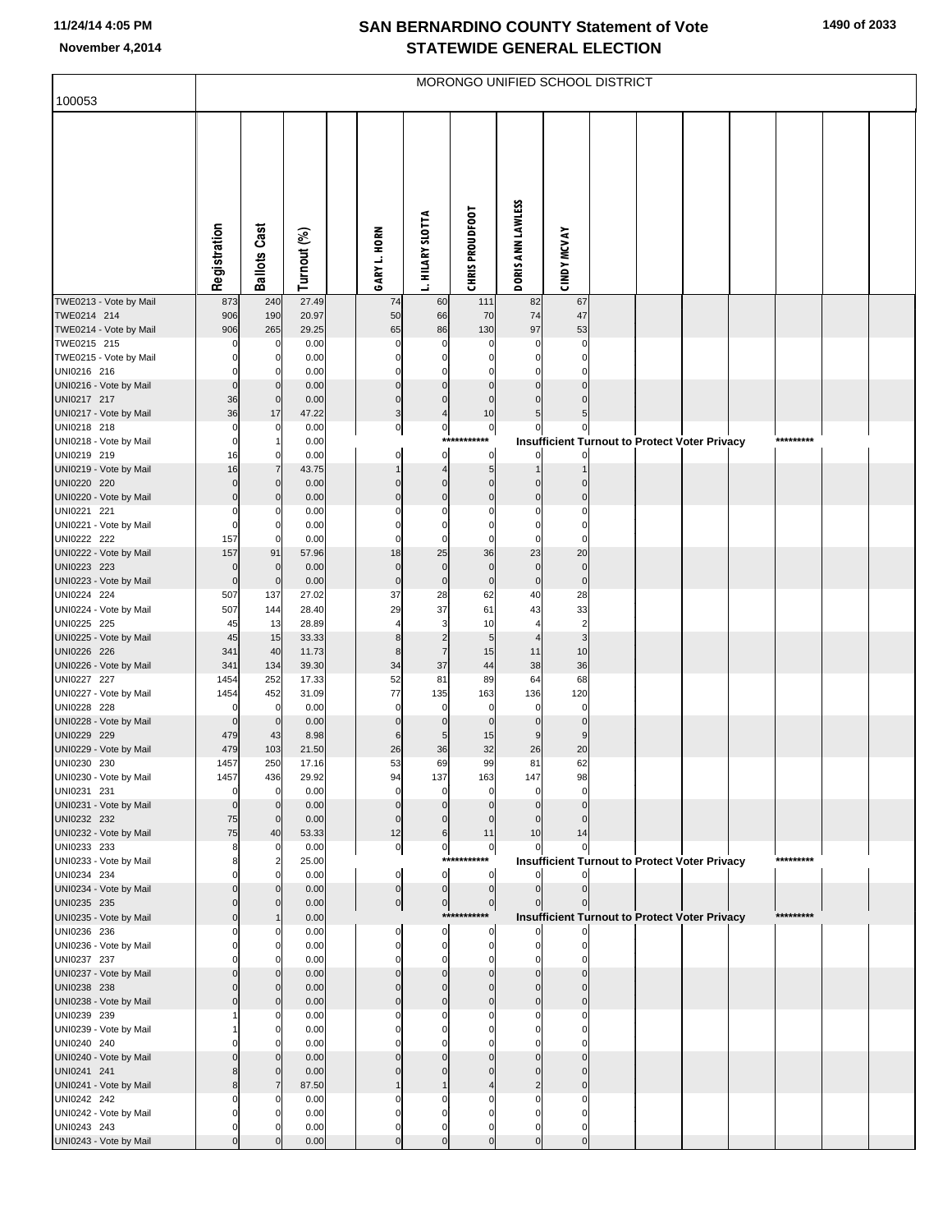| 1490 of 2033 |  |  |
|--------------|--|--|
|--------------|--|--|

|                                       | MORONGO UNIFIED SCHOOL DISTRICT |                               |                |  |                      |                                  |                                  |                            |                           |  |  |                                                      |  |           |  |
|---------------------------------------|---------------------------------|-------------------------------|----------------|--|----------------------|----------------------------------|----------------------------------|----------------------------|---------------------------|--|--|------------------------------------------------------|--|-----------|--|
| 100053                                |                                 |                               |                |  |                      |                                  |                                  |                            |                           |  |  |                                                      |  |           |  |
|                                       | Registration                    | <b>Ballots Cast</b>           | Turnout (%)    |  | GARY L. HORN         | L. HILARY SLOTTA                 | <b>CHRIS PROUDFOOT</b>           | DORIS ANN LAWLESS          | <b>CINDY MCVAY</b>        |  |  |                                                      |  |           |  |
| TWE0213 - Vote by Mail                | 873                             | 240                           | 27.49          |  | 74                   | 60                               | 111                              | 82                         | 67                        |  |  |                                                      |  |           |  |
| TWE0214 214<br>TWE0214 - Vote by Mail | 906<br>906                      | 190<br>265                    | 20.97<br>29.25 |  | 50<br>65             | 66<br>86                         | 70<br>130                        | 74<br>97                   | 47<br>53                  |  |  |                                                      |  |           |  |
| TWE0215 215                           |                                 | 0                             | 0.00           |  | 0                    | 0                                | 0                                | 0                          | 0                         |  |  |                                                      |  |           |  |
| TWE0215 - Vote by Mail                |                                 | $\Omega$                      | 0.00           |  | $\Omega$             | $\Omega$                         | 0                                | $\Omega$                   | $\Omega$                  |  |  |                                                      |  |           |  |
| UNI0216 216                           |                                 | 0                             | 0.00           |  | 0                    | 0                                | 0                                | 0                          | 0                         |  |  |                                                      |  |           |  |
| UNI0216 - Vote by Mail<br>UNI0217 217 | 36                              | $\mathbf 0$<br>$\mathbf 0$    | 0.00<br>0.00   |  | $\Omega$<br>0        | $\Omega$<br>$\Omega$             | $\Omega$<br>$\Omega$             | $\mathbf 0$                | $\Omega$<br>$\mathbf 0$   |  |  |                                                      |  |           |  |
| UNI0217 - Vote by Mail                | 36                              | 17                            | 47.22          |  | 3                    | 4                                | 10                               | 5                          | 5                         |  |  |                                                      |  |           |  |
| UNI0218 218                           |                                 | 0                             | 0.00           |  | $\mathbf 0$          | $\overline{0}$                   | $\overline{0}$                   | 0                          | 0                         |  |  |                                                      |  |           |  |
| UNI0218 - Vote by Mail                |                                 | $\mathbf{1}$                  | 0.00           |  |                      | ****                             | ***                              |                            |                           |  |  | <b>Insufficient Turnout to Protect Voter Privacy</b> |  | ********* |  |
| UNI0219 219                           | 16                              | 0                             | 0.00           |  | 0                    | $\mathbf 0$                      | $\overline{0}$                   |                            |                           |  |  |                                                      |  |           |  |
| UNI0219 - Vote by Mail<br>UNI0220 220 | 16                              | $\overline{7}$<br>$\mathbf 0$ | 43.75<br>0.00  |  | 0                    | 4<br>$\Omega$                    | 5 <sub>5</sub><br>$\mathbf 0$    | $\Omega$                   | $\mathbf 0$               |  |  |                                                      |  |           |  |
| UNI0220 - Vote by Mail                |                                 | $\Omega$                      | 0.00           |  | $\Omega$             | $\Omega$                         | $\mathbf 0$                      | $\Omega$                   | $\mathbf 0$               |  |  |                                                      |  |           |  |
| UNI0221 221                           |                                 | 0                             | 0.00           |  | 0                    | 0                                | 0                                | 0                          | 0                         |  |  |                                                      |  |           |  |
| UNI0221 - Vote by Mail                |                                 | 0                             | 0.00           |  | 0                    | $\Omega$                         | $\Omega$                         | 0                          | $\Omega$                  |  |  |                                                      |  |           |  |
| UNI0222 222<br>UNI0222 - Vote by Mail | 157<br>157                      | $\Omega$<br>91                | 0.00<br>57.96  |  | $\Omega$<br>18       | $\Omega$<br>25                   | 0<br>36                          | 0<br>23                    | 0<br>20                   |  |  |                                                      |  |           |  |
| UNI0223 223                           |                                 | $\mathbf 0$                   | 0.00           |  | $\mathbf 0$          | $\mathbf 0$                      | $\mathbf 0$                      | $\mathbf 0$                | $\mathbf 0$               |  |  |                                                      |  |           |  |
| UNI0223 - Vote by Mail                | $\Omega$                        | $\mathbf 0$                   | 0.00           |  | 0                    | $\pmb{0}$                        | $\mathbf 0$                      | $\mathbf 0$                | $\pmb{0}$                 |  |  |                                                      |  |           |  |
| UNI0224 224                           | 507                             | 137                           | 27.02          |  | 37                   | 28                               | 62                               | 40                         | 28                        |  |  |                                                      |  |           |  |
| UNI0224 - Vote by Mail<br>UNI0225 225 | 507<br>45                       | 144<br>13                     | 28.40<br>28.89 |  | 29                   | 37<br>3                          | 61<br>10                         | 43<br>4                    | 33<br>$\overline{2}$      |  |  |                                                      |  |           |  |
| UNI0225 - Vote by Mail                | 45                              | 15                            | 33.33          |  | 8                    | $\overline{2}$                   | 5                                | $\overline{4}$             | $\mathsf 3$               |  |  |                                                      |  |           |  |
| UNI0226 226                           | 341                             | 40                            | 11.73          |  | 8                    | $\overline{7}$                   | 15                               | 11                         | 10                        |  |  |                                                      |  |           |  |
| UNI0226 - Vote by Mail                | 341                             | 134                           | 39.30          |  | 34                   | 37                               | 44                               | 38                         | 36                        |  |  |                                                      |  |           |  |
| UNI0227 227<br>UNI0227 - Vote by Mail | 1454<br>1454                    | 252<br>452                    | 17.33<br>31.09 |  | 52<br>77             | 81<br>135                        | 89<br>163                        | 64<br>136                  | 68<br>120                 |  |  |                                                      |  |           |  |
| UNI0228 228                           |                                 | $\mathbf 0$                   | 0.00           |  | 0                    | 0                                | 0                                | 0                          | 0                         |  |  |                                                      |  |           |  |
| UNI0228 - Vote by Mail                |                                 | $\mathbf 0$                   | 0.00           |  | $\mathbf 0$          | $\mathbf 0$                      | $\mathbf 0$                      | $\mathbf 0$                | $\pmb{0}$                 |  |  |                                                      |  |           |  |
| UNI0229 229                           | 479                             | 43                            | 8.98           |  | 6                    | 5                                | 15                               | 9                          | 9                         |  |  |                                                      |  |           |  |
| UNI0229 - Vote by Mail<br>UNI0230 230 | 479<br>1457                     | 103<br>250                    | 21.50<br>17.16 |  | 26<br>53             | 36<br>69                         | 32<br>99                         | 26<br>81                   | 20<br>62                  |  |  |                                                      |  |           |  |
| UNI0230 - Vote by Mail                | 1457                            | 436                           | 29.92          |  | 94                   | 137                              | 163                              | 147                        | 98                        |  |  |                                                      |  |           |  |
| UNI0231 231                           | 0                               | 0                             | 0.00           |  | $\mathbf 0$          | $\mathbf 0$                      | $\mathbf 0$                      | 0                          | 0                         |  |  |                                                      |  |           |  |
| UNI0231 - Vote by Mail                | $\overline{0}$                  | $\mathbf 0$                   | 0.00           |  | $\Omega$             | $\Omega$                         | $\Omega$                         | $\Omega$                   | $\Omega$                  |  |  |                                                      |  |           |  |
| UNI0232 232<br>UNI0232 - Vote by Mail | 75<br>75                        | $\mathbf 0$<br>40             | 0.00<br>53.33  |  | $\mathbf 0$<br>12    | $\mathbf{0}$<br>6                | 11                               | $\Omega$<br>10             | $\Omega$<br>14            |  |  |                                                      |  |           |  |
| UNI0233 233                           | 8                               | $\Omega$                      | 0.00           |  | $\overline{0}$       | $\overline{0}$                   | $\overline{0}$                   | 0                          | 0                         |  |  |                                                      |  |           |  |
| UNI0233 - Vote by Mail                |                                 | $\overline{c}$                | 25.00          |  |                      |                                  | ***********                      |                            |                           |  |  | Insufficient Turnout to Protect Voter Privacy        |  | ********* |  |
| UNI0234 234                           |                                 | $\Omega$                      | 0.00           |  | 0                    | $\overline{0}$                   | $\overline{0}$                   |                            |                           |  |  |                                                      |  |           |  |
| UNI0234 - Vote by Mail<br>UNI0235 235 |                                 | $\Omega$<br>$\mathbf 0$       | 0.00<br>0.00   |  | 0<br>이               | $\overline{0}$<br>$\overline{0}$ | $\overline{0}$<br>$\overline{0}$ | $\mathbf 0$<br>$\mathbf 0$ | $\pmb{0}$<br>$\mathbf{0}$ |  |  |                                                      |  |           |  |
| UNI0235 - Vote by Mail                |                                 | $\mathbf 1$                   | 0.00           |  |                      |                                  | ***********                      |                            |                           |  |  | <b>Insufficient Turnout to Protect Voter Privacy</b> |  | ********* |  |
| UNI0236 236                           |                                 | 0                             | 0.00           |  | 0                    | 0                                | $\overline{0}$                   |                            |                           |  |  |                                                      |  |           |  |
| UNI0236 - Vote by Mail                |                                 | $\Omega$                      | 0.00           |  | 0                    | $\mathbf 0$                      | $\mathbf 0$                      |                            | $\Omega$                  |  |  |                                                      |  |           |  |
| UNI0237 237<br>UNI0237 - Vote by Mail |                                 | $\Omega$<br>$\Omega$          | 0.00<br>0.00   |  | $\Omega$<br>$\Omega$ | $\mathbf 0$<br>$\Omega$          | $\Omega$<br>$\Omega$             | 0<br>$\Omega$              | $\Omega$                  |  |  |                                                      |  |           |  |
| UNI0238 238                           |                                 | $\mathbf 0$                   | 0.00           |  | 0                    | $\Omega$                         | $\Omega$                         | $\Omega$                   | $\Omega$                  |  |  |                                                      |  |           |  |
| UNI0238 - Vote by Mail                |                                 | $\Omega$                      | 0.00           |  | $\Omega$             | $\mathbf{0}$                     | $\Omega$                         | $\Omega$                   | $\Omega$                  |  |  |                                                      |  |           |  |
| UNI0239 239                           |                                 | 0                             | 0.00           |  | 0                    | 0                                | $\Omega$                         | $\Omega$                   | $\Omega$                  |  |  |                                                      |  |           |  |
| UNI0239 - Vote by Mail<br>UNI0240 240 |                                 | $\Omega$<br>0                 | 0.00<br>0.00   |  | n                    | 0<br>n                           | $\Omega$                         | $\Omega$<br>0              | $\Omega$<br>$\Omega$      |  |  |                                                      |  |           |  |
| UNI0240 - Vote by Mail                |                                 | $\Omega$                      | 0.00           |  | U                    | $\Omega$                         | $\Omega$                         | $\Omega$                   | $\Omega$                  |  |  |                                                      |  |           |  |
| UNI0241 241                           |                                 | $\Omega$                      | 0.00           |  |                      | U                                | $\Omega$                         | $\Omega$                   | $\Omega$                  |  |  |                                                      |  |           |  |
| UNI0241 - Vote by Mail                |                                 | $\overline{7}$                | 87.50          |  |                      |                                  |                                  | $\overline{2}$             | $\mathbf 0$               |  |  |                                                      |  |           |  |
| UNI0242 242                           |                                 | 0                             | 0.00           |  | ŋ                    | 0                                | 0<br>O                           | $\Omega$                   | $\Omega$                  |  |  |                                                      |  |           |  |
| UNI0242 - Vote by Mail<br>UNI0243 243 |                                 | 0<br>n                        | 0.00<br>0.00   |  | 0                    | 0<br>0                           | $\Omega$                         | 0<br>0                     | 0                         |  |  |                                                      |  |           |  |
| UNI0243 - Vote by Mail                |                                 |                               | 0.00           |  | $\Omega$             | $\mathbf{0}$                     | $\Omega$                         | $\Omega$                   | $\pmb{0}$                 |  |  |                                                      |  |           |  |
|                                       |                                 |                               |                |  |                      |                                  |                                  |                            |                           |  |  |                                                      |  |           |  |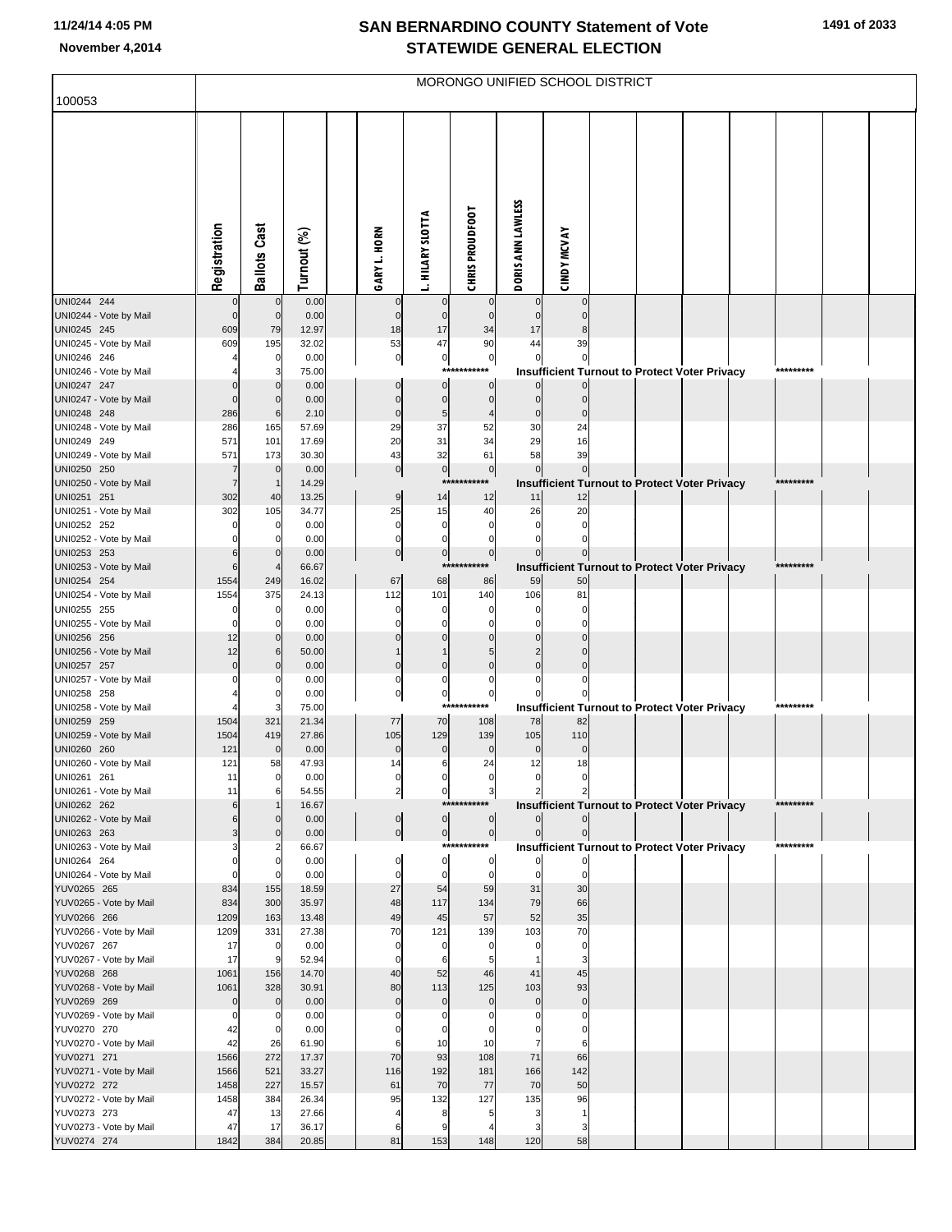| 100053                                | MORONGO UNIFIED SCHOOL DISTRICT |                     |                |  |                             |                            |                                   |                     |                             |  |  |                                                      |           |  |
|---------------------------------------|---------------------------------|---------------------|----------------|--|-----------------------------|----------------------------|-----------------------------------|---------------------|-----------------------------|--|--|------------------------------------------------------|-----------|--|
|                                       |                                 |                     |                |  |                             |                            |                                   |                     |                             |  |  |                                                      |           |  |
|                                       | Registration                    | <b>Ballots Cast</b> | Turnout (%)    |  | GARY L. HORN                | <b>L. HILARY SLOTTA</b>    | <b>CHRIS PROUDFOOT</b>            | DORIS ANN LAWLESS   | <b>CINDY MCVAY</b>          |  |  |                                                      |           |  |
| UNI0244 244                           | $\mathbf 0$                     | $\mathbf 0$         | 0.00<br>0.00   |  | $\mathbf 0$<br>$\mathbf{0}$ | $\mathbf 0$                | $\Omega$<br>$\Omega$              | $\mathbf{0}$        | $\mathbf 0$<br>$\mathbf{0}$ |  |  |                                                      |           |  |
| UNI0244 - Vote by Mail<br>UNI0245 245 | 609                             | 79                  | 12.97          |  | 18                          | 17                         | 34                                | 17                  |                             |  |  |                                                      |           |  |
| UNI0245 - Vote by Mail                | 609                             | 195                 | 32.02          |  | 53                          | 47                         | 90                                | 44                  | 39                          |  |  |                                                      |           |  |
| UNI0246 246<br>UNI0246 - Vote by Mail |                                 | 0                   | 0.00<br>75.00  |  | $\pmb{0}$                   | $\pmb{0}$<br>***           | $\overline{0}$<br>***             | $\Omega$            |                             |  |  | <b>Insufficient Turnout to Protect Voter Privacy</b> | ********* |  |
| UNI0247 247                           |                                 |                     | 0.00           |  | $\Omega$                    | $\Omega$                   | $\mathbf{0}$                      |                     |                             |  |  |                                                      |           |  |
| UNI0247 - Vote by Mail                |                                 |                     | 0.00           |  | C                           | $\Omega$                   | $\Omega$                          | $\mathbf{0}$        | $\mathbf{0}$                |  |  |                                                      |           |  |
| UNI0248 248                           | 286                             | 6                   | 2.10           |  | $\Omega$                    | 5                          |                                   | $\mathbf 0$         |                             |  |  |                                                      |           |  |
| UNI0248 - Vote by Mail<br>UNI0249 249 | 286<br>571                      | 165<br>101          | 57.69<br>17.69 |  | 29<br>20                    | 37<br>31                   | 52<br>34                          | 30<br>29            | 24<br>16                    |  |  |                                                      |           |  |
| UNI0249 - Vote by Mail                | 571                             | 173                 | 30.30          |  | 43                          | 32                         | 61                                | 58                  | 39                          |  |  |                                                      |           |  |
| UNI0250 250                           | 7                               | $\mathbf 0$         | 0.00           |  | $\pmb{0}$                   | $\pmb{0}$                  | 0                                 | $\mathbf 0$         | $\overline{0}$              |  |  |                                                      |           |  |
| UNI0250 - Vote by Mail<br>UNI0251 251 | $\overline{7}$<br>302           | 40                  | 14.29<br>13.25 |  | $\overline{9}$              | ***<br>14                  | ******<br>12                      | 11                  | 12                          |  |  | Insufficient Turnout to Protect Voter Privacy        | ********* |  |
| UNI0251 - Vote by Mail                | 302                             | 105                 | 34.77          |  | 25                          | 15                         | 40                                | 26                  | 20                          |  |  |                                                      |           |  |
| UNI0252 252                           |                                 | 0                   | 0.00           |  | $\mathbf 0$                 | $\mathbf 0$                | $\Omega$                          | $\Omega$            | $\Omega$                    |  |  |                                                      |           |  |
| UNI0252 - Vote by Mail                |                                 |                     | 0.00           |  | $\mathbf 0$                 | $\Omega$                   | $\Omega$                          |                     | $\Omega$                    |  |  |                                                      |           |  |
| UNI0253 253<br>UNI0253 - Vote by Mail | 6                               | $\Omega$            | 0.00<br>66.67  |  | $\pmb{0}$                   | $\mathbf 0$<br>***         | $\overline{0}$<br>*****           |                     | $\overline{0}$              |  |  | <b>Insufficient Turnout to Protect Voter Privacy</b> | ********* |  |
| UNI0254 254                           | 1554                            | 249                 | 16.02          |  | 67                          | 68                         | 86                                | 59                  | 50                          |  |  |                                                      |           |  |
| UNI0254 - Vote by Mail                | 1554                            | 375                 | 24.13          |  | 112                         | 101                        | 140                               | 106                 | 81                          |  |  |                                                      |           |  |
| UNI0255 255<br>UNI0255 - Vote by Mail |                                 |                     | 0.00<br>0.00   |  | C                           | 0                          | C                                 |                     |                             |  |  |                                                      |           |  |
| UNI0256 256                           | 12                              | $\Omega$            | 0.00           |  |                             |                            |                                   |                     |                             |  |  |                                                      |           |  |
| UNI0256 - Vote by Mail                | 12                              | 6                   | 50.00          |  |                             |                            | 5                                 |                     |                             |  |  |                                                      |           |  |
| UNI0257 257                           | $\Omega$                        |                     | 0.00           |  | C                           | $\mathsf{C}$               | $\Omega$                          |                     |                             |  |  |                                                      |           |  |
| UNI0257 - Vote by Mail<br>UNI0258 258 |                                 |                     | 0.00<br>0.00   |  | 0<br>$\Omega$               | 0<br>$\mathbf 0$           | $\Omega$<br>$\mathbf 0$           |                     |                             |  |  |                                                      |           |  |
| UNI0258 - Vote by Mail                |                                 |                     | 75.00          |  |                             | $***$                      | ***                               |                     |                             |  |  | <b>Insufficient Turnout to Protect Voter Privacy</b> | ********* |  |
| UNI0259 259                           | 1504                            | 321                 | 21.34          |  | 77                          | 70                         | 108                               | 78                  | 82                          |  |  |                                                      |           |  |
| UNI0259 - Vote by Mail<br>UNI0260 260 | 1504<br>121                     | 419<br>$\Omega$     | 27.86<br>0.00  |  | 105<br>$\mathbf 0$          | 129<br>$\Omega$            | 139<br>$\Omega$                   | 105<br>$\mathbf{0}$ | 110<br>$\Omega$             |  |  |                                                      |           |  |
| UNI0260 - Vote by Mail                | 121                             | 58                  | 47.93          |  | 14                          | 6                          | 24                                | 12                  | 18                          |  |  |                                                      |           |  |
| UNI0261 261                           |                                 |                     | 0.00           |  |                             |                            |                                   |                     |                             |  |  |                                                      |           |  |
| UNI0261 - Vote by Mail<br>UNI0262 262 | 11<br>6                         | 6                   | 54.55<br>16.67 |  | $\overline{\mathbf{c}}$     | 0                          | $\overline{\mathbf{3}}$<br>****** |                     |                             |  |  |                                                      | ********* |  |
| UNI0262 - Vote by Mail                |                                 |                     | 0.00           |  | $\pmb{0}$                   | $\overline{0}$             | $\overline{0}$                    |                     |                             |  |  | Insufficient Turnout to Protect Voter Privacy        |           |  |
| UNI0263 263                           |                                 |                     | 0.00           |  | $\mathbf 0$                 | $\overline{0}$             | $\overline{0}$                    | $\overline{0}$      |                             |  |  |                                                      |           |  |
| UNI0263 - Vote by Mail                |                                 |                     | 66.67          |  |                             |                            | ***********                       |                     |                             |  |  | <b>Insufficient Turnout to Protect Voter Privacy</b> | ********* |  |
| UNI0264 264<br>UNI0264 - Vote by Mail | $\Omega$                        |                     | 0.00<br>0.00   |  | $\Omega$<br>$\Omega$        | $\mathbf 0$<br>$\mathbf 0$ | $\mathbf{0}$<br>$\mathbf 0$       | $\Omega$            | $\mathbf 0$                 |  |  |                                                      |           |  |
| YUV0265 265                           | 834                             | 155                 | 18.59          |  | 27                          | 54                         | 59                                | 31                  | 30                          |  |  |                                                      |           |  |
| YUV0265 - Vote by Mail                | 834                             | 300                 | 35.97          |  | 48                          | 117                        | 134                               | 79                  | 66                          |  |  |                                                      |           |  |
| YUV0266 266<br>YUV0266 - Vote by Mail | 1209<br>1209                    | 163<br>331          | 13.48<br>27.38 |  | 49<br>70                    | 45<br>121                  | 57<br>139                         | 52<br>103           | 35<br>70                    |  |  |                                                      |           |  |
| YUV0267 267                           | 17                              | 0                   | 0.00           |  | $\mathbf 0$                 | $\Omega$                   | $\Omega$                          |                     | $\mathbf 0$                 |  |  |                                                      |           |  |
| YUV0267 - Vote by Mail                | 17                              |                     | 52.94          |  | $\Omega$                    | 6                          | 5                                 |                     | 3                           |  |  |                                                      |           |  |
| YUV0268 268                           | 1061<br>1061                    | 156<br>328          | 14.70<br>30.91 |  | 40<br>80                    | 52<br>113                  | 46<br>125                         | 41<br>103           | 45<br>93                    |  |  |                                                      |           |  |
| YUV0268 - Vote by Mail<br>YUV0269 269 | $\Omega$                        | $\Omega$            | 0.00           |  | $\mathbf{0}$                | $\Omega$                   | $\mathbf 0$                       | $\mathbf{0}$        | $\overline{0}$              |  |  |                                                      |           |  |
| YUV0269 - Vote by Mail                | 0                               |                     | 0.00           |  |                             | C                          |                                   |                     |                             |  |  |                                                      |           |  |
| YUV0270 270                           | 42                              | 0                   | 0.00           |  |                             |                            |                                   |                     |                             |  |  |                                                      |           |  |
| YUV0270 - Vote by Mail<br>YUV0271 271 | 42<br>1566                      | 26<br>272           | 61.90<br>17.37 |  | 70                          | 10<br>93                   | 10<br>108                         | 71                  | 6<br>66                     |  |  |                                                      |           |  |
| YUV0271 - Vote by Mail                | 1566                            | 521                 | 33.27          |  | 116                         | 192                        | 181                               | 166                 | 142                         |  |  |                                                      |           |  |
| YUV0272 272                           | 1458                            | 227                 | 15.57          |  | 61                          | 70                         | 77                                | 70                  | 50                          |  |  |                                                      |           |  |
| YUV0272 - Vote by Mail                | 1458                            | 384                 | 26.34          |  | 95                          | 132                        | 127                               | 135                 | 96                          |  |  |                                                      |           |  |
| YUV0273 273<br>YUV0273 - Vote by Mail | 47<br>47                        | 13<br>17            | 27.66<br>36.17 |  | 6                           | 8                          | 5                                 |                     | -1<br>3                     |  |  |                                                      |           |  |
| YUV0274 274                           | 1842                            | 384                 | 20.85          |  | 81                          | 153                        | 148                               | 120                 | 58                          |  |  |                                                      |           |  |